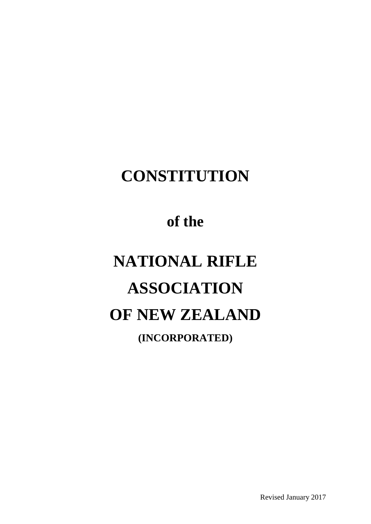## **CONSTITUTION**

## **of the**

# **NATIONAL RIFLE ASSOCIATION OF NEW ZEALAND (INCORPORATED)**

Revised January 2017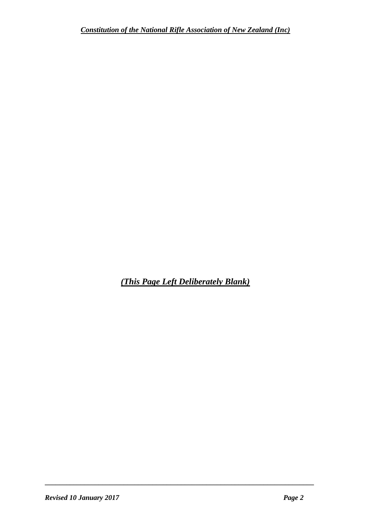*(This Page Left Deliberately Blank)*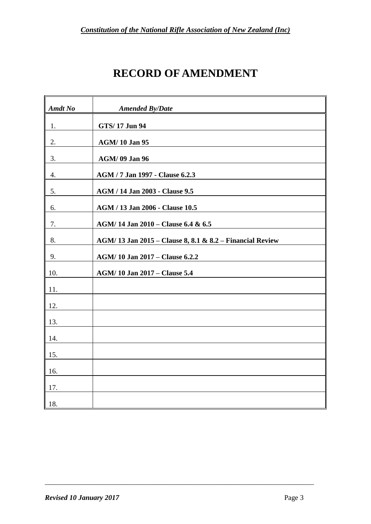### **RECORD OF AMENDMENT**

<span id="page-2-0"></span>

| Amdt No | <b>Amended By/Date</b>                                    |
|---------|-----------------------------------------------------------|
| 1.      | GTS/17 Jun 94                                             |
| 2.      | <b>AGM/10 Jan 95</b>                                      |
| 3.      | <b>AGM/09 Jan 96</b>                                      |
| 4.      | AGM / 7 Jan 1997 - Clause 6.2.3                           |
| 5.      | AGM / 14 Jan 2003 - Clause 9.5                            |
| 6.      | AGM / 13 Jan 2006 - Clause 10.5                           |
| 7.      | AGM/ 14 Jan 2010 - Clause 6.4 & 6.5                       |
| 8.      | AGM/ 13 Jan 2015 – Clause 8, 8.1 & 8.2 – Financial Review |
| 9.      | AGM/10 Jan 2017 - Clause 6.2.2                            |
| 10.     | <b>AGM/10 Jan 2017 - Clause 5.4</b>                       |
| 11.     |                                                           |
| 12.     |                                                           |
| 13.     |                                                           |
| 14.     |                                                           |
| 15.     |                                                           |
| 16.     |                                                           |
| 17.     |                                                           |
| 18.     |                                                           |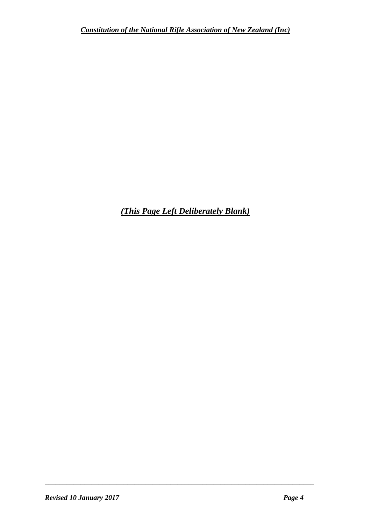*(This Page Left Deliberately Blank)*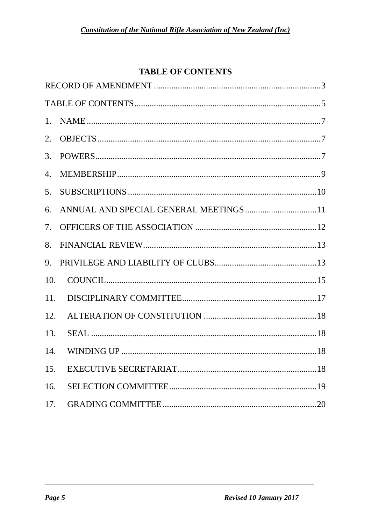#### **TABLE OF CONTENTS**

<span id="page-4-0"></span>

| 2.  |                                        |  |
|-----|----------------------------------------|--|
| 3.  |                                        |  |
| 4.  |                                        |  |
| 5.  |                                        |  |
| 6.  | ANNUAL AND SPECIAL GENERAL MEETINGS 11 |  |
| 7.  |                                        |  |
| 8.  |                                        |  |
| 9.  |                                        |  |
| 10. |                                        |  |
| 11. |                                        |  |
| 12. |                                        |  |
| 13. |                                        |  |
| 14. |                                        |  |
| 15. |                                        |  |
| 16. |                                        |  |
| 17. |                                        |  |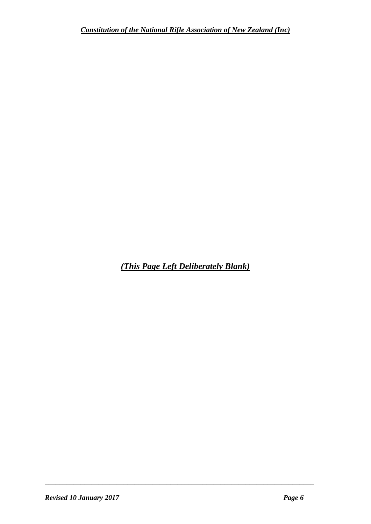*(This Page Left Deliberately Blank)*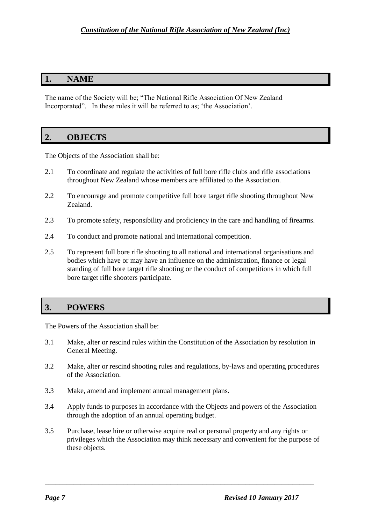#### <span id="page-6-0"></span>**1. NAME**

The name of the Society will be; "The National Rifle Association Of New Zealand Incorporated". In these rules it will be referred to as; 'the Association'.

#### <span id="page-6-1"></span>**2. OBJECTS**

The Objects of the Association shall be:

- 2.1 To coordinate and regulate the activities of full bore rifle clubs and rifle associations throughout New Zealand whose members are affiliated to the Association.
- 2.2 To encourage and promote competitive full bore target rifle shooting throughout New Zealand.
- 2.3 To promote safety, responsibility and proficiency in the care and handling of firearms.
- 2.4 To conduct and promote national and international competition.
- 2.5 To represent full bore rifle shooting to all national and international organisations and bodies which have or may have an influence on the administration, finance or legal standing of full bore target rifle shooting or the conduct of competitions in which full bore target rifle shooters participate.

#### <span id="page-6-2"></span>**3. POWERS**

The Powers of the Association shall be:

- 3.1 Make, alter or rescind rules within the Constitution of the Association by resolution in General Meeting.
- 3.2 Make, alter or rescind shooting rules and regulations, by-laws and operating procedures of the Association.
- 3.3 Make, amend and implement annual management plans.
- 3.4 Apply funds to purposes in accordance with the Objects and powers of the Association through the adoption of an annual operating budget.
- 3.5 Purchase, lease hire or otherwise acquire real or personal property and any rights or privileges which the Association may think necessary and convenient for the purpose of these objects.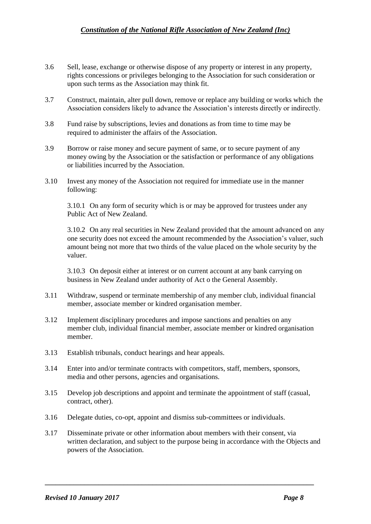- 3.6 Sell, lease, exchange or otherwise dispose of any property or interest in any property, rights concessions or privileges belonging to the Association for such consideration or upon such terms as the Association may think fit.
- 3.7 Construct, maintain, alter pull down, remove or replace any building or works which the Association considers likely to advance the Association's interests directly or indirectly.
- 3.8 Fund raise by subscriptions, levies and donations as from time to time may be required to administer the affairs of the Association.
- 3.9 Borrow or raise money and secure payment of same, or to secure payment of any money owing by the Association or the satisfaction or performance of any obligations or liabilities incurred by the Association.
- 3.10 Invest any money of the Association not required for immediate use in the manner following:

3.10.1 On any form of security which is or may be approved for trustees under any Public Act of New Zealand.

3.10.2 On any real securities in New Zealand provided that the amount advanced on any one security does not exceed the amount recommended by the Association's valuer, such amount being not more that two thirds of the value placed on the whole security by the valuer.

3.10.3 On deposit either at interest or on current account at any bank carrying on business in New Zealand under authority of Act o the General Assembly.

- 3.11 Withdraw, suspend or terminate membership of any member club, individual financial member, associate member or kindred organisation member.
- 3.12 Implement disciplinary procedures and impose sanctions and penalties on any member club, individual financial member, associate member or kindred organisation member.
- 3.13 Establish tribunals, conduct hearings and hear appeals.
- 3.14 Enter into and/or terminate contracts with competitors, staff, members, sponsors, media and other persons, agencies and organisations.
- 3.15 Develop job descriptions and appoint and terminate the appointment of staff (casual, contract, other).
- 3.16 Delegate duties, co-opt, appoint and dismiss sub-committees or individuals.
- 3.17 Disseminate private or other information about members with their consent, via written declaration, and subject to the purpose being in accordance with the Objects and powers of the Association.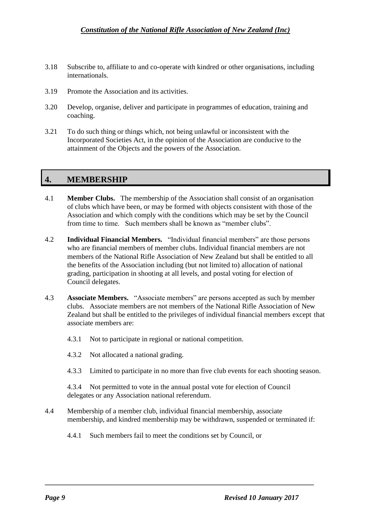- 3.18 Subscribe to, affiliate to and co-operate with kindred or other organisations, including internationals.
- 3.19 Promote the Association and its activities.
- 3.20 Develop, organise, deliver and participate in programmes of education, training and coaching.
- 3.21 To do such thing or things which, not being unlawful or inconsistent with the Incorporated Societies Act, in the opinion of the Association are conducive to the attainment of the Objects and the powers of the Association.

#### <span id="page-8-0"></span>**4. MEMBERSHIP**

- 4.1 **Member Clubs.** The membership of the Association shall consist of an organisation of clubs which have been, or may be formed with objects consistent with those of the Association and which comply with the conditions which may be set by the Council from time to time. Such members shall be known as "member clubs".
- 4.2 **Individual Financial Members.** "Individual financial members" are those persons who are financial members of member clubs. Individual financial members are not members of the National Rifle Association of New Zealand but shall be entitled to all the benefits of the Association including (but not limited to) allocation of national grading, participation in shooting at all levels, and postal voting for election of Council delegates.
- 4.3 **Associate Members.** "Associate members" are persons accepted as such by member clubs. Associate members are not members of the National Rifle Association of New Zealand but shall be entitled to the privileges of individual financial members except that associate members are:
	- 4.3.1 Not to participate in regional or national competition.
	- 4.3.2 Not allocated a national grading.
	- 4.3.3 Limited to participate in no more than five club events for each shooting season.

4.3.4 Not permitted to vote in the annual postal vote for election of Council delegates or any Association national referendum.

4.4 Membership of a member club, individual financial membership, associate membership, and kindred membership may be withdrawn, suspended or terminated if:

**\_\_\_\_\_\_\_\_\_\_\_\_\_\_\_\_\_\_\_\_\_\_\_\_\_\_\_\_\_\_\_\_\_\_\_\_\_\_\_\_\_\_\_\_\_\_\_\_\_\_\_\_\_\_\_\_\_\_\_\_\_\_\_\_\_\_\_\_\_\_\_\_\_\_\_**

4.4.1 Such members fail to meet the conditions set by Council, or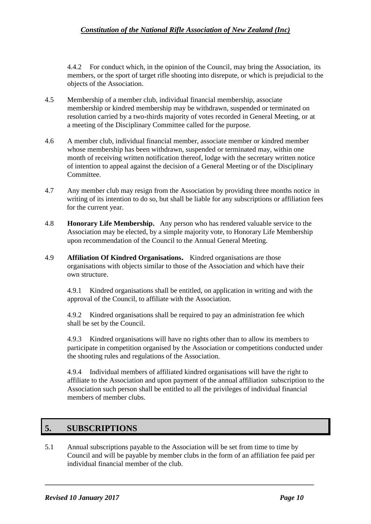4.4.2 For conduct which, in the opinion of the Council, may bring the Association, its members, or the sport of target rifle shooting into disrepute, or which is prejudicial to the objects of the Association.

- 4.5 Membership of a member club, individual financial membership, associate membership or kindred membership may be withdrawn, suspended or terminated on resolution carried by a two-thirds majority of votes recorded in General Meeting, or at a meeting of the Disciplinary Committee called for the purpose.
- 4.6 A member club, individual financial member, associate member or kindred member whose membership has been withdrawn, suspended or terminated may, within one month of receiving written notification thereof, lodge with the secretary written notice of intention to appeal against the decision of a General Meeting or of the Disciplinary Committee.
- 4.7 Any member club may resign from the Association by providing three months notice in writing of its intention to do so, but shall be liable for any subscriptions or affiliation fees for the current year.
- 4.8 **Honorary Life Membership.** Any person who has rendered valuable service to the Association may be elected, by a simple majority vote, to Honorary Life Membership upon recommendation of the Council to the Annual General Meeting.
- 4.9 **Affiliation Of Kindred Organisations.** Kindred organisations are those organisations with objects similar to those of the Association and which have their own structure.

4.9.1 Kindred organisations shall be entitled, on application in writing and with the approval of the Council, to affiliate with the Association.

4.9.2 Kindred organisations shall be required to pay an administration fee which shall be set by the Council.

4.9.3 Kindred organisations will have no rights other than to allow its members to participate in competition organised by the Association or competitions conducted under the shooting rules and regulations of the Association.

4.9.4 Individual members of affiliated kindred organisations will have the right to affiliate to the Association and upon payment of the annual affiliation subscription to the Association such person shall be entitled to all the privileges of individual financial members of member clubs.

#### <span id="page-9-0"></span>**5. SUBSCRIPTIONS**

5.1 Annual subscriptions payable to the Association will be set from time to time by Council and will be payable by member clubs in the form of an affiliation fee paid per individual financial member of the club.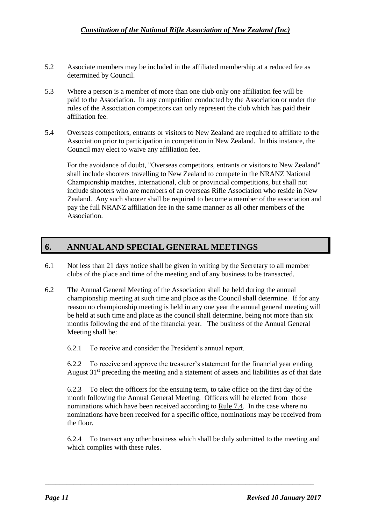- 5.2 Associate members may be included in the affiliated membership at a reduced fee as determined by Council.
- 5.3 Where a person is a member of more than one club only one affiliation fee will be paid to the Association. In any competition conducted by the Association or under the rules of the Association competitors can only represent the club which has paid their affiliation fee.
- 5.4 Overseas competitors, entrants or visitors to New Zealand are required to affiliate to the Association prior to participation in competition in New Zealand. In this instance, the Council may elect to waive any affiliation fee.

For the avoidance of doubt, "Overseas competitors, entrants or visitors to New Zealand" shall include shooters travelling to New Zealand to compete in the NRANZ National Championship matches, international, club or provincial competitions, but shall not include shooters who are members of an overseas Rifle Association who reside in New Zealand. Any such shooter shall be required to become a member of the association and pay the full NRANZ affiliation fee in the same manner as all other members of the Association.

#### <span id="page-10-0"></span>**6. ANNUAL AND SPECIAL GENERAL MEETINGS**

- 6.1 Not less than 21 days notice shall be given in writing by the Secretary to all member clubs of the place and time of the meeting and of any business to be transacted.
- 6.2 The Annual General Meeting of the Association shall be held during the annual championship meeting at such time and place as the Council shall determine. If for any reason no championship meeting is held in any one year the annual general meeting will be held at such time and place as the council shall determine, being not more than six months following the end of the financial year. The business of the Annual General Meeting shall be:

6.2.1 To receive and consider the President's annual report.

6.2.2 To receive and approve the treasurer's statement for the financial year ending August  $31<sup>st</sup>$  preceding the meeting and a statement of assets and liabilities as of that date

6.2.3 To elect the officers for the ensuing term, to take office on the first day of the month following the Annual General Meeting. Officers will be elected from those nominations which have been received according to Rule 7.4. In the case where no nominations have been received for a specific office, nominations may be received from the floor.

6.2.4 To transact any other business which shall be duly submitted to the meeting and which complies with these rules.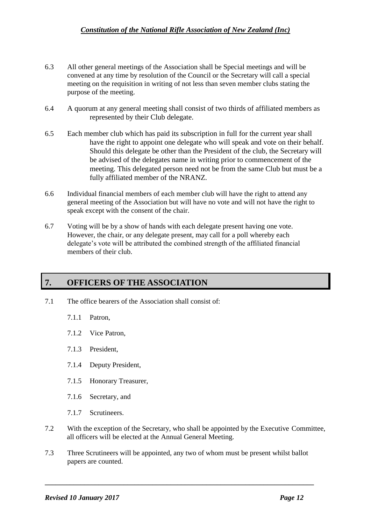- 6.3 All other general meetings of the Association shall be Special meetings and will be convened at any time by resolution of the Council or the Secretary will call a special meeting on the requisition in writing of not less than seven member clubs stating the purpose of the meeting.
- 6.4 A quorum at any general meeting shall consist of two thirds of affiliated members as represented by their Club delegate.
- 6.5 Each member club which has paid its subscription in full for the current year shall have the right to appoint one delegate who will speak and vote on their behalf. Should this delegate be other than the President of the club, the Secretary will be advised of the delegates name in writing prior to commencement of the meeting. This delegated person need not be from the same Club but must be a fully affiliated member of the NRANZ.
- 6.6 Individual financial members of each member club will have the right to attend any general meeting of the Association but will have no vote and will not have the right to speak except with the consent of the chair.
- 6.7 Voting will be by a show of hands with each delegate present having one vote. However, the chair, or any delegate present, may call for a poll whereby each delegate's vote will be attributed the combined strength of the affiliated financial members of their club.

#### <span id="page-11-0"></span>**7. OFFICERS OF THE ASSOCIATION**

- 7.1 The office bearers of the Association shall consist of:
	- 7.1.1 Patron,
	- 7.1.2 Vice Patron,
	- 7.1.3 President,
	- 7.1.4 Deputy President,
	- 7.1.5 Honorary Treasurer,
	- 7.1.6 Secretary, and
	- 7.1.7 Scrutineers.
- 7.2 With the exception of the Secretary, who shall be appointed by the Executive Committee, all officers will be elected at the Annual General Meeting.
- 7.3 Three Scrutineers will be appointed, any two of whom must be present whilst ballot papers are counted.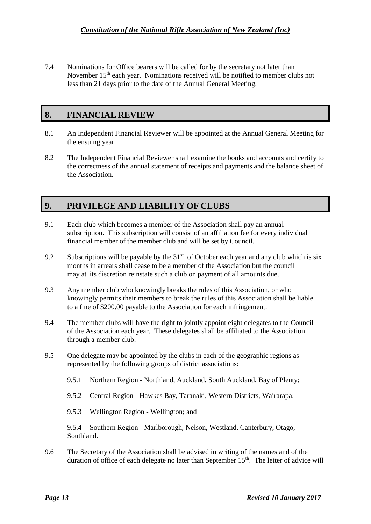7.4 Nominations for Office bearers will be called for by the secretary not later than November 15<sup>th</sup> each year. Nominations received will be notified to member clubs not less than 21 days prior to the date of the Annual General Meeting.

#### <span id="page-12-0"></span>**8. FINANCIAL REVIEW**

- 8.1 An Independent Financial Reviewer will be appointed at the Annual General Meeting for the ensuing year.
- 8.2 The Independent Financial Reviewer shall examine the books and accounts and certify to the correctness of the annual statement of receipts and payments and the balance sheet of the Association.

#### <span id="page-12-1"></span>**9. PRIVILEGE AND LIABILITY OF CLUBS**

- 9.1 Each club which becomes a member of the Association shall pay an annual subscription. This subscription will consist of an affiliation fee for every individual financial member of the member club and will be set by Council.
- 9.2 Subscriptions will be payable by the  $31<sup>st</sup>$  of October each year and any club which is six months in arrears shall cease to be a member of the Association but the council may at its discretion reinstate such a club on payment of all amounts due.
- 9.3 Any member club who knowingly breaks the rules of this Association, or who knowingly permits their members to break the rules of this Association shall be liable to a fine of \$200.00 payable to the Association for each infringement.
- 9.4 The member clubs will have the right to jointly appoint eight delegates to the Council of the Association each year. These delegates shall be affiliated to the Association through a member club.
- 9.5 One delegate may be appointed by the clubs in each of the geographic regions as represented by the following groups of district associations:
	- 9.5.1 Northern Region Northland, Auckland, South Auckland, Bay of Plenty;
	- 9.5.2 Central Region Hawkes Bay, Taranaki, Western Districts, Wairarapa;
	- 9.5.3 Wellington Region Wellington; and

9.5.4 Southern Region - Marlborough, Nelson, Westland, Canterbury, Otago, Southland.

9.6 The Secretary of the Association shall be advised in writing of the names and of the duration of office of each delegate no later than September  $15<sup>th</sup>$ . The letter of advice will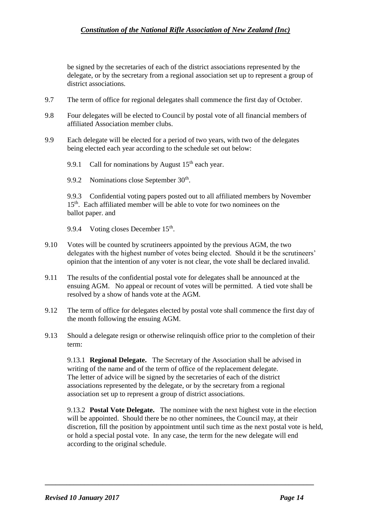be signed by the secretaries of each of the district associations represented by the delegate, or by the secretary from a regional association set up to represent a group of district associations.

- 9.7 The term of office for regional delegates shall commence the first day of October.
- 9.8 Four delegates will be elected to Council by postal vote of all financial members of affiliated Association member clubs.
- 9.9 Each delegate will be elected for a period of two years, with two of the delegates being elected each year according to the schedule set out below:
	- 9.9.1 Call for nominations by August  $15<sup>th</sup>$  each year.
	- 9.9.2 Nominations close September  $30<sup>th</sup>$ .

9.9.3 Confidential voting papers posted out to all affiliated members by November 15<sup>th</sup>. Each affiliated member will be able to vote for two nominees on the ballot paper. and

- 9.9.4 Voting closes December  $15<sup>th</sup>$ .
- 9.10 Votes will be counted by scrutineers appointed by the previous AGM, the two delegates with the highest number of votes being elected. Should it be the scrutineers' opinion that the intention of any voter is not clear, the vote shall be declared invalid.
- 9.11 The results of the confidential postal vote for delegates shall be announced at the ensuing AGM. No appeal or recount of votes will be permitted. A tied vote shall be resolved by a show of hands vote at the AGM.
- 9.12 The term of office for delegates elected by postal vote shall commence the first day of the month following the ensuing AGM.
- 9.13 Should a delegate resign or otherwise relinquish office prior to the completion of their term:

9.13.1 **Regional Delegate.** The Secretary of the Association shall be advised in writing of the name and of the term of office of the replacement delegate. The letter of advice will be signed by the secretaries of each of the district associations represented by the delegate, or by the secretary from a regional association set up to represent a group of district associations.

**\_\_\_\_\_\_\_\_\_\_\_\_\_\_\_\_\_\_\_\_\_\_\_\_\_\_\_\_\_\_\_\_\_\_\_\_\_\_\_\_\_\_\_\_\_\_\_\_\_\_\_\_\_\_\_\_\_\_\_\_\_\_\_\_\_\_\_\_\_\_\_\_\_\_\_**

9.13.2 **Postal Vote Delegate.** The nominee with the next highest vote in the election will be appointed. Should there be no other nominees, the Council may, at their discretion, fill the position by appointment until such time as the next postal vote is held, or hold a special postal vote. In any case, the term for the new delegate will end according to the original schedule.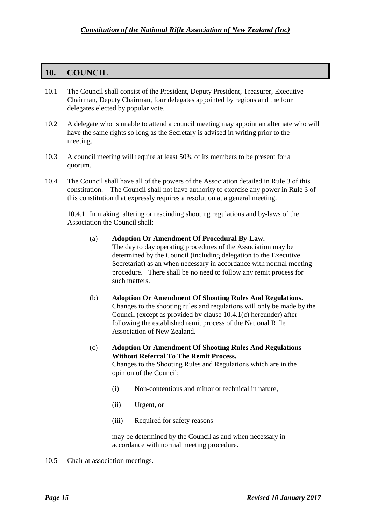#### <span id="page-14-0"></span>**10. COUNCIL**

- 10.1 The Council shall consist of the President, Deputy President, Treasurer, Executive Chairman, Deputy Chairman, four delegates appointed by regions and the four delegates elected by popular vote.
- 10.2 A delegate who is unable to attend a council meeting may appoint an alternate who will have the same rights so long as the Secretary is advised in writing prior to the meeting.
- 10.3 A council meeting will require at least 50% of its members to be present for a quorum.
- 10.4 The Council shall have all of the powers of the Association detailed in Rule 3 of this constitution. The Council shall not have authority to exercise any power in Rule 3 of this constitution that expressly requires a resolution at a general meeting.

10.4.1 In making, altering or rescinding shooting regulations and by-laws of the Association the Council shall:

- (a) **Adoption Or Amendment Of Procedural By-Law.** The day to day operating procedures of the Association may be determined by the Council (including delegation to the Executive Secretariat) as an when necessary in accordance with normal meeting procedure. There shall be no need to follow any remit process for such matters.
- (b) **Adoption Or Amendment Of Shooting Rules And Regulations.** Changes to the shooting rules and regulations will only be made by the Council (except as provided by clause 10.4.1(c) hereunder) after following the established remit process of the National Rifle Association of New Zealand.
- (c) **Adoption Or Amendment Of Shooting Rules And Regulations Without Referral To The Remit Process.** Changes to the Shooting Rules and Regulations which are in the opinion of the Council;
	- (i) Non-contentious and minor or technical in nature,
	- (ii) Urgent, or
	- (iii) Required for safety reasons

may be determined by the Council as and when necessary in accordance with normal meeting procedure.

**\_\_\_\_\_\_\_\_\_\_\_\_\_\_\_\_\_\_\_\_\_\_\_\_\_\_\_\_\_\_\_\_\_\_\_\_\_\_\_\_\_\_\_\_\_\_\_\_\_\_\_\_\_\_\_\_\_\_\_\_\_\_\_\_\_\_\_\_\_\_\_\_\_\_\_**

#### 10.5 Chair at association meetings.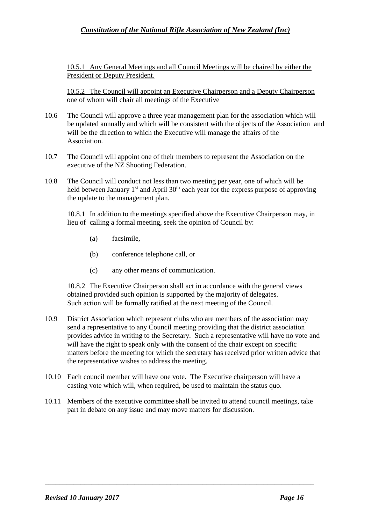#### *Constitution of the National Rifle Association of New Zealand (Inc)*

10.5.1 Any General Meetings and all Council Meetings will be chaired by either the President or Deputy President.

10.5.2 The Council will appoint an Executive Chairperson and a Deputy Chairperson one of whom will chair all meetings of the Executive

- 10.6 The Council will approve a three year management plan for the association which will be updated annually and which will be consistent with the objects of the Association and will be the direction to which the Executive will manage the affairs of the Association.
- 10.7 The Council will appoint one of their members to represent the Association on the executive of the NZ Shooting Federation.
- 10.8 The Council will conduct not less than two meeting per year, one of which will be held between January  $1<sup>st</sup>$  and April 30<sup>th</sup> each year for the express purpose of approving the update to the management plan.

10.8.1 In addition to the meetings specified above the Executive Chairperson may, in lieu of calling a formal meeting, seek the opinion of Council by:

- (a) facsimile,
- (b) conference telephone call, or
- (c) any other means of communication.

10.8.2 The Executive Chairperson shall act in accordance with the general views obtained provided such opinion is supported by the majority of delegates. Such action will be formally ratified at the next meeting of the Council.

- 10.9 District Association which represent clubs who are members of the association may send a representative to any Council meeting providing that the district association provides advice in writing to the Secretary. Such a representative will have no vote and will have the right to speak only with the consent of the chair except on specific matters before the meeting for which the secretary has received prior written advice that the representative wishes to address the meeting.
- 10.10 Each council member will have one vote. The Executive chairperson will have a casting vote which will, when required, be used to maintain the status quo.
- 10.11 Members of the executive committee shall be invited to attend council meetings, take part in debate on any issue and may move matters for discussion.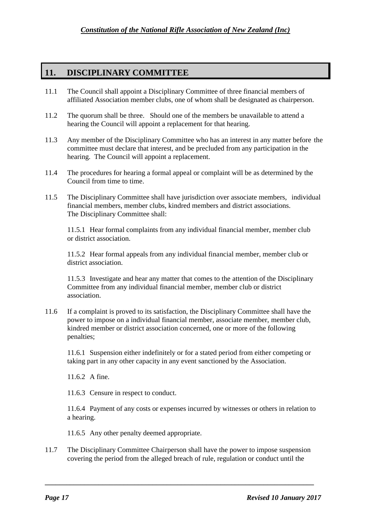#### <span id="page-16-0"></span>**11. DISCIPLINARY COMMITTEE**

- 11.1 The Council shall appoint a Disciplinary Committee of three financial members of affiliated Association member clubs, one of whom shall be designated as chairperson.
- 11.2 The quorum shall be three. Should one of the members be unavailable to attend a hearing the Council will appoint a replacement for that hearing.
- 11.3 Any member of the Disciplinary Committee who has an interest in any matter before the committee must declare that interest, and be precluded from any participation in the hearing. The Council will appoint a replacement.
- 11.4 The procedures for hearing a formal appeal or complaint will be as determined by the Council from time to time.
- 11.5 The Disciplinary Committee shall have jurisdiction over associate members, individual financial members, member clubs, kindred members and district associations. The Disciplinary Committee shall:

11.5.1 Hear formal complaints from any individual financial member, member club or district association.

11.5.2 Hear formal appeals from any individual financial member, member club or district association.

11.5.3 Investigate and hear any matter that comes to the attention of the Disciplinary Committee from any individual financial member, member club or district association.

11.6 If a complaint is proved to its satisfaction, the Disciplinary Committee shall have the power to impose on a individual financial member, associate member, member club, kindred member or district association concerned, one or more of the following penalties;

11.6.1 Suspension either indefinitely or for a stated period from either competing or taking part in any other capacity in any event sanctioned by the Association.

11.6.2 A fine.

11.6.3 Censure in respect to conduct.

11.6.4 Payment of any costs or expenses incurred by witnesses or others in relation to a hearing.

11.6.5 Any other penalty deemed appropriate.

11.7 The Disciplinary Committee Chairperson shall have the power to impose suspension covering the period from the alleged breach of rule, regulation or conduct until the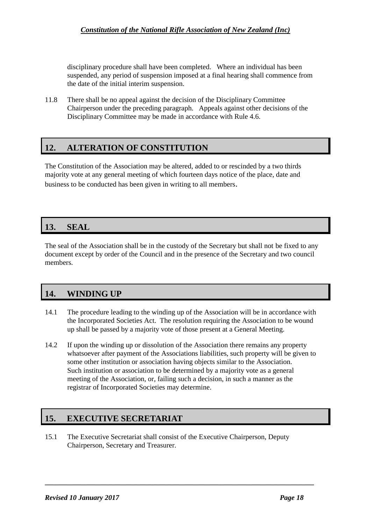disciplinary procedure shall have been completed. Where an individual has been suspended, any period of suspension imposed at a final hearing shall commence from the date of the initial interim suspension.

11.8 There shall be no appeal against the decision of the Disciplinary Committee Chairperson under the preceding paragraph. Appeals against other decisions of the Disciplinary Committee may be made in accordance with Rule 4.6.

#### <span id="page-17-0"></span>**12. ALTERATION OF CONSTITUTION**

The Constitution of the Association may be altered, added to or rescinded by a two thirds majority vote at any general meeting of which fourteen days notice of the place, date and business to be conducted has been given in writing to all members.

#### <span id="page-17-1"></span>**13. SEAL**

The seal of the Association shall be in the custody of the Secretary but shall not be fixed to any document except by order of the Council and in the presence of the Secretary and two council members.

#### <span id="page-17-2"></span>**14. WINDING UP**

- 14.1 The procedure leading to the winding up of the Association will be in accordance with the Incorporated Societies Act. The resolution requiring the Association to be wound up shall be passed by a majority vote of those present at a General Meeting.
- 14.2 If upon the winding up or dissolution of the Association there remains any property whatsoever after payment of the Associations liabilities, such property will be given to some other institution or association having objects similar to the Association. Such institution or association to be determined by a majority vote as a general meeting of the Association, or, failing such a decision, in such a manner as the registrar of Incorporated Societies may determine.

#### <span id="page-17-3"></span>**15. EXECUTIVE SECRETARIAT**

15.1 The Executive Secretariat shall consist of the Executive Chairperson, Deputy Chairperson, Secretary and Treasurer.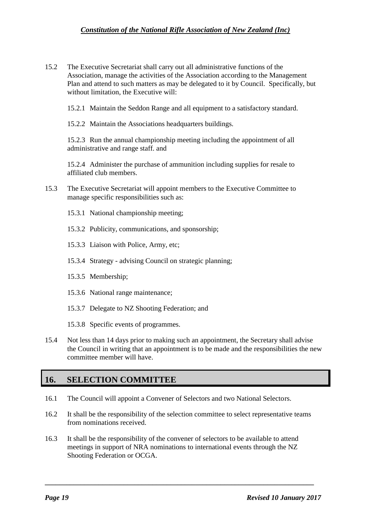- 15.2 The Executive Secretariat shall carry out all administrative functions of the Association, manage the activities of the Association according to the Management Plan and attend to such matters as may be delegated to it by Council. Specifically, but without limitation, the Executive will:
	- 15.2.1 Maintain the Seddon Range and all equipment to a satisfactory standard.
	- 15.2.2 Maintain the Associations headquarters buildings.

15.2.3 Run the annual championship meeting including the appointment of all administrative and range staff. and

15.2.4 Administer the purchase of ammunition including supplies for resale to affiliated club members.

- 15.3 The Executive Secretariat will appoint members to the Executive Committee to manage specific responsibilities such as:
	- 15.3.1 National championship meeting;
	- 15.3.2 Publicity, communications, and sponsorship;
	- 15.3.3 Liaison with Police, Army, etc;
	- 15.3.4 Strategy advising Council on strategic planning;
	- 15.3.5 Membership;
	- 15.3.6 National range maintenance;
	- 15.3.7 Delegate to NZ Shooting Federation; and
	- 15.3.8 Specific events of programmes.
- 15.4 Not less than 14 days prior to making such an appointment, the Secretary shall advise the Council in writing that an appointment is to be made and the responsibilities the new committee member will have.

#### <span id="page-18-0"></span>**16. SELECTION COMMITTEE**

- 16.1 The Council will appoint a Convener of Selectors and two National Selectors.
- 16.2 It shall be the responsibility of the selection committee to select representative teams from nominations received.

**\_\_\_\_\_\_\_\_\_\_\_\_\_\_\_\_\_\_\_\_\_\_\_\_\_\_\_\_\_\_\_\_\_\_\_\_\_\_\_\_\_\_\_\_\_\_\_\_\_\_\_\_\_\_\_\_\_\_\_\_\_\_\_\_\_\_\_\_\_\_\_\_\_\_\_**

16.3 It shall be the responsibility of the convener of selectors to be available to attend meetings in support of NRA nominations to international events through the NZ Shooting Federation or OCGA.